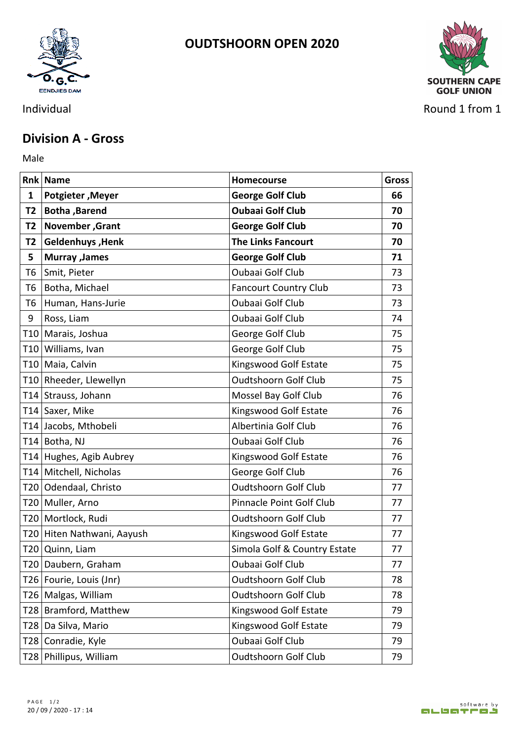



Individual Round 1 from 1

## **Division A - Gross**

Male **Male** 

|                | <b>Rnk Name</b>            | <b>Homecourse</b>            | <b>Gross</b> |
|----------------|----------------------------|------------------------------|--------------|
| 1              | Potgieter, Meyer           | <b>George Golf Club</b>      | 66           |
|                | T2   Botha , Barend        | <b>Oubaai Golf Club</b>      | 70           |
| T <sub>2</sub> | November, Grant            | <b>George Golf Club</b>      | 70           |
| T2             | Geldenhuys, Henk           | <b>The Links Fancourt</b>    | 70           |
| 5              | Murray , James             | <b>George Golf Club</b>      | 71           |
| T6             | Smit, Pieter               | Oubaai Golf Club             | 73           |
| T6             | Botha, Michael             | <b>Fancourt Country Club</b> | 73           |
| T6             | Human, Hans-Jurie          | Oubaai Golf Club             | 73           |
| 9              | Ross, Liam                 | Oubaai Golf Club             | 74           |
|                | T10   Marais, Joshua       | George Golf Club             | 75           |
|                | T10 Williams, Ivan         | George Golf Club             | 75           |
|                | T10 Maia, Calvin           | Kingswood Golf Estate        | 75           |
|                | T10 Rheeder, Llewellyn     | <b>Oudtshoorn Golf Club</b>  | 75           |
|                | T14 Strauss, Johann        | Mossel Bay Golf Club         | 76           |
|                | T14 Saxer, Mike            | Kingswood Golf Estate        | 76           |
|                | T14 Jacobs, Mthobeli       | Albertinia Golf Club         | 76           |
|                | T14 Botha, NJ              | Oubaai Golf Club             | 76           |
|                | T14 Hughes, Agib Aubrey    | Kingswood Golf Estate        | 76           |
|                | T14 Mitchell, Nicholas     | George Golf Club             | 76           |
|                | T20 Odendaal, Christo      | <b>Oudtshoorn Golf Club</b>  | 77           |
|                | T20   Muller, Arno         | Pinnacle Point Golf Club     | 77           |
|                | T20   Mortlock, Rudi       | <b>Oudtshoorn Golf Club</b>  | 77           |
|                | T20 Hiten Nathwani, Aayush | Kingswood Golf Estate        | 77           |
|                | T20 Quinn, Liam            | Simola Golf & Country Estate | 77           |
|                | T20 Daubern, Graham        | Oubaai Golf Club             | 77           |
|                | T26   Fourie, Louis (Jnr)  | <b>Oudtshoorn Golf Club</b>  | 78           |
|                | T26 Malgas, William        | Oudtshoorn Golf Club         | 78           |
|                | T28 Bramford, Matthew      | Kingswood Golf Estate        | 79           |
|                | T28 Da Silva, Mario        | Kingswood Golf Estate        | 79           |
|                | T28 Conradie, Kyle         | Oubaai Golf Club             | 79           |
|                | T28 Phillipus, William     | <b>Oudtshoorn Golf Club</b>  | 79           |